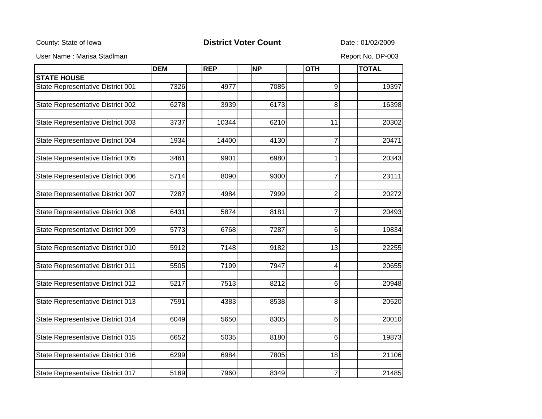County: State of Iowa **District Voter Count** Date : 01/02/2009

User Name : Marisa Stadlman Report No. DP-003

|                                   | <b>DEM</b> | <b>REP</b>         | NP   | <b>OTH</b>     | <b>TOTAL</b> |
|-----------------------------------|------------|--------------------|------|----------------|--------------|
| <b>STATE HOUSE</b>                |            |                    |      |                |              |
| State Representative District 001 | 7326       | 4977               | 7085 | 9              | 19397        |
| State Representative District 002 | 6278       | 3939               | 6173 | 8              | 16398        |
|                                   |            |                    |      |                |              |
| State Representative District 003 | 3737       | 10344              | 6210 | 11             | 20302        |
| State Representative District 004 | 1934       | 14400              | 4130 | 7              | 20471        |
| State Representative District 005 | 3461       | 9901               | 6980 | $\mathbf{1}$   | 20343        |
| State Representative District 006 | 5714       | 8090               | 9300 | $\overline{7}$ | 23111        |
| State Representative District 007 | 7287       | 4984               | 7999 | $\overline{2}$ | 20272        |
| State Representative District 008 | 6431       | 5874               | 8181 | $\overline{7}$ | 20493        |
| State Representative District 009 | 5773       | 6768               | 7287 | 6              | 19834        |
| State Representative District 010 | 5912       | $\overline{71}$ 48 | 9182 | 13             | 22255        |
| State Representative District 011 | 5505       | 7199               | 7947 | 4              | 20655        |
| State Representative District 012 | 5217       | 7513               | 8212 | $\,6$          | 20948        |
| State Representative District 013 | 7591       | 4383               | 8538 | $\infty$       | 20520        |
| State Representative District 014 | 6049       | 5650               | 8305 | 6              | 20010        |
| State Representative District 015 | 6652       | 5035               | 8180 | 6              | 19873        |
| State Representative District 016 | 6299       | 6984               | 7805 | 18             | 21106        |
| State Representative District 017 | 5169       | 7960               | 8349 | $\overline{7}$ | 21485        |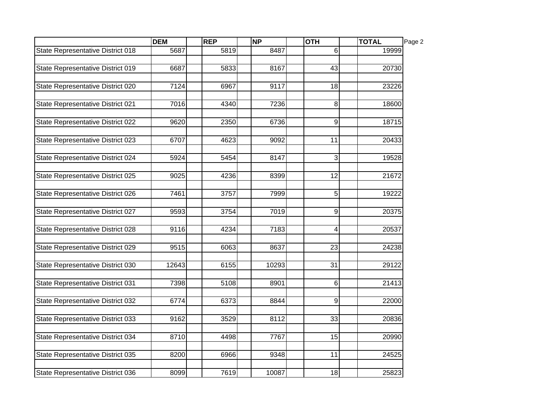|                                   | <b>DEM</b> | REP  | <b>NP</b> | <b>OTH</b>      | <b>TOTAL</b> | Page 2 |
|-----------------------------------|------------|------|-----------|-----------------|--------------|--------|
| State Representative District 018 | 5687       | 5819 | 8487      | 6               | 19999        |        |
| State Representative District 019 | 6687       | 5833 | 8167      | 43              | 20730        |        |
|                                   |            |      |           |                 |              |        |
| State Representative District 020 | 7124       | 6967 | 9117      | 18              | 23226        |        |
| State Representative District 021 | 7016       | 4340 | 7236      | 8               | 18600        |        |
| State Representative District 022 | 9620       | 2350 | 6736      | 9               | 18715        |        |
| State Representative District 023 | 6707       | 4623 | 9092      | 11              | 20433        |        |
| State Representative District 024 | 5924       | 5454 | 8147      | 3               | 19528        |        |
| State Representative District 025 | 9025       | 4236 | 8399      | $\overline{12}$ | 21672        |        |
| State Representative District 026 | 7461       | 3757 | 7999      | 5               | 19222        |        |
| State Representative District 027 | 9593       | 3754 | 7019      | 9               | 20375        |        |
| State Representative District 028 | 9116       | 4234 | 7183      | 4               | 20537        |        |
| State Representative District 029 | 9515       | 6063 | 8637      | 23              | 24238        |        |
| State Representative District 030 | 12643      | 6155 | 10293     | 31              | 29122        |        |
| State Representative District 031 | 7398       | 5108 | 8901      | 6               | 21413        |        |
| State Representative District 032 | 6774       | 6373 | 8844      | 9               | 22000        |        |
| State Representative District 033 | 9162       | 3529 | 8112      | 33              | 20836        |        |
| State Representative District 034 | 8710       | 4498 | 7767      | $\overline{15}$ | 20990        |        |
| State Representative District 035 | 8200       | 6966 | 9348      | 11              | 24525        |        |
| State Representative District 036 | 8099       | 7619 | 10087     | 18              | 25823        |        |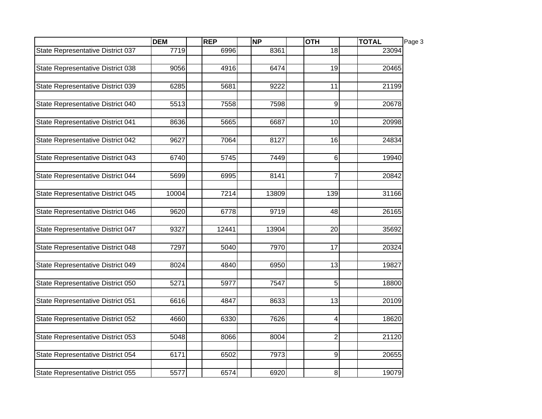|                                   | <b>DEM</b> | REP   | <b>NP</b> | <b>OTH</b>     | <b>TOTAL</b> | Page 3 |
|-----------------------------------|------------|-------|-----------|----------------|--------------|--------|
| State Representative District 037 | 7719       | 6996  | 8361      | 18             | 23094        |        |
| State Representative District 038 | 9056       | 4916  | 6474      | 19             | 20465        |        |
| State Representative District 039 | 6285       | 5681  | 9222      | 11             | 21199        |        |
| State Representative District 040 | 5513       | 7558  | 7598      | 9              | 20678        |        |
| State Representative District 041 | 8636       | 5665  | 6687      | 10             | 20998        |        |
| State Representative District 042 | 9627       | 7064  | 8127      | 16             | 24834        |        |
| State Representative District 043 | 6740       | 5745  | 7449      | 6              | 19940        |        |
| State Representative District 044 | 5699       | 6995  | 8141      | $\overline{7}$ | 20842        |        |
| State Representative District 045 | 10004      | 7214  | 13809     | 139            | 31166        |        |
| State Representative District 046 | 9620       | 6778  | 9719      | 48             | 26165        |        |
| State Representative District 047 | 9327       | 12441 | 13904     | 20             | 35692        |        |
| State Representative District 048 | 7297       | 5040  | 7970      | 17             | 20324        |        |
| State Representative District 049 | 8024       | 4840  | 6950      | 13             | 19827        |        |
| State Representative District 050 | 5271       | 5977  | 7547      | 5              | 18800        |        |
| State Representative District 051 | 6616       | 4847  | 8633      | 13             | 20109        |        |
| State Representative District 052 | 4660       | 6330  | 7626      | 4              | 18620        |        |
| State Representative District 053 | 5048       | 8066  | 8004      | $\overline{2}$ | 21120        |        |
| State Representative District 054 | 6171       | 6502  | 7973      | 9              | 20655        |        |
| State Representative District 055 | 5577       | 6574  | 6920      | $\,8\,$        | 19079        |        |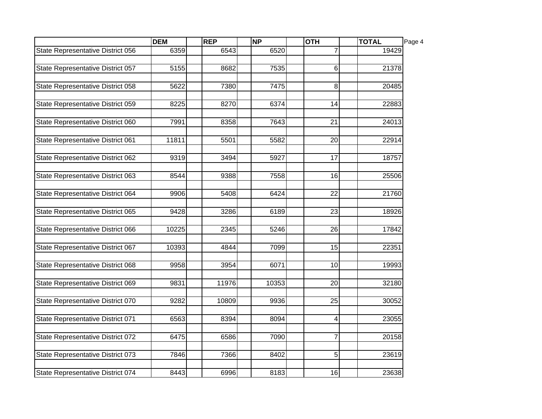|                                   | <b>DEM</b> | REP   | <b>NP</b> | <b>OTH</b>      | <b>TOTAL</b> | Page 4 |
|-----------------------------------|------------|-------|-----------|-----------------|--------------|--------|
| State Representative District 056 | 6359       | 6543  | 6520      | 7               | 19429        |        |
| State Representative District 057 | 5155       | 8682  | 7535      | 6               | 21378        |        |
| State Representative District 058 | 5622       | 7380  | 7475      | 8               | 20485        |        |
| State Representative District 059 | 8225       | 8270  | 6374      | 14              | 22883        |        |
| State Representative District 060 | 7991       | 8358  | 7643      | 21              | 24013        |        |
| State Representative District 061 | 11811      | 5501  | 5582      | 20              | 22914        |        |
| State Representative District 062 | 9319       | 3494  | 5927      | 17              | 18757        |        |
| State Representative District 063 | 8544       | 9388  | 7558      | $\overline{16}$ | 25506        |        |
| State Representative District 064 | 9906       | 5408  | 6424      | $\overline{22}$ | 21760        |        |
| State Representative District 065 | 9428       | 3286  | 6189      | 23              | 18926        |        |
| State Representative District 066 | 10225      | 2345  | 5246      | 26              | 17842        |        |
| State Representative District 067 | 10393      | 4844  | 7099      | 15              | 22351        |        |
| State Representative District 068 | 9958       | 3954  | 6071      | 10              | 19993        |        |
| State Representative District 069 | 9831       | 11976 | 10353     | 20              | 32180        |        |
| State Representative District 070 | 9282       | 10809 | 9936      | 25              | 30052        |        |
| State Representative District 071 | 6563       | 8394  | 8094      | 4               | 23055        |        |
| State Representative District 072 | 6475       | 6586  | 7090      | $\overline{7}$  | 20158        |        |
| State Representative District 073 | 7846       | 7366  | 8402      | 5               | 23619        |        |
| State Representative District 074 | 8443       | 6996  | 8183      | 16              | 23638        |        |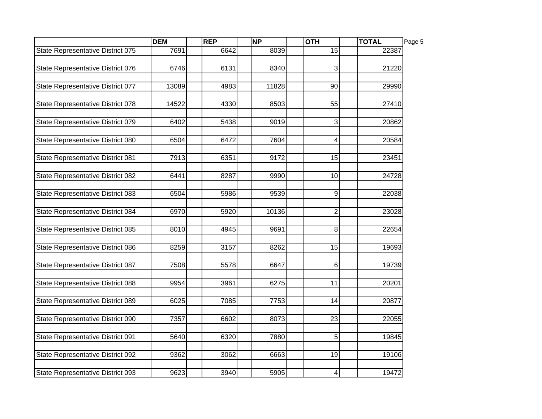|                                   | <b>DEM</b> | REP  | <b>NP</b> | <b>OTH</b>       | <b>TOTAL</b> | Page 5 |
|-----------------------------------|------------|------|-----------|------------------|--------------|--------|
| State Representative District 075 | 7691       | 6642 | 8039      | 15               | 22387        |        |
| State Representative District 076 | 6746       | 6131 | 8340      | 3                | 21220        |        |
|                                   |            |      |           |                  |              |        |
| State Representative District 077 | 13089      | 4983 | 11828     | 90               | 29990        |        |
| State Representative District 078 | 14522      | 4330 | 8503      | 55               | 27410        |        |
| State Representative District 079 | 6402       | 5438 | 9019      | 3                | 20862        |        |
| State Representative District 080 | 6504       | 6472 | 7604      | 4                | 20584        |        |
| State Representative District 081 | 7913       | 6351 | 9172      | 15               | 23451        |        |
| State Representative District 082 | 6441       | 8287 | 9990      | $\overline{10}$  | 24728        |        |
| State Representative District 083 | 6504       | 5986 | 9539      | 9                | 22038        |        |
| State Representative District 084 | 6970       | 5920 | 10136     | $\boldsymbol{2}$ | 23028        |        |
| State Representative District 085 | 8010       | 4945 | 9691      | 8                | 22654        |        |
| State Representative District 086 | 8259       | 3157 | 8262      | 15               | 19693        |        |
| State Representative District 087 | 7508       | 5578 | 6647      | 6                | 19739        |        |
| State Representative District 088 | 9954       | 3961 | 6275      | 11               | 20201        |        |
| State Representative District 089 | 6025       | 7085 | 7753      | 14               | 20877        |        |
| State Representative District 090 | 7357       | 6602 | 8073      | $\overline{23}$  | 22055        |        |
| State Representative District 091 | 5640       | 6320 | 7880      | 5                | 19845        |        |
| State Representative District 092 | 9362       | 3062 | 6663      | 19               | 19106        |        |
| State Representative District 093 | 9623       | 3940 | 5905      | 4                | 19472        |        |